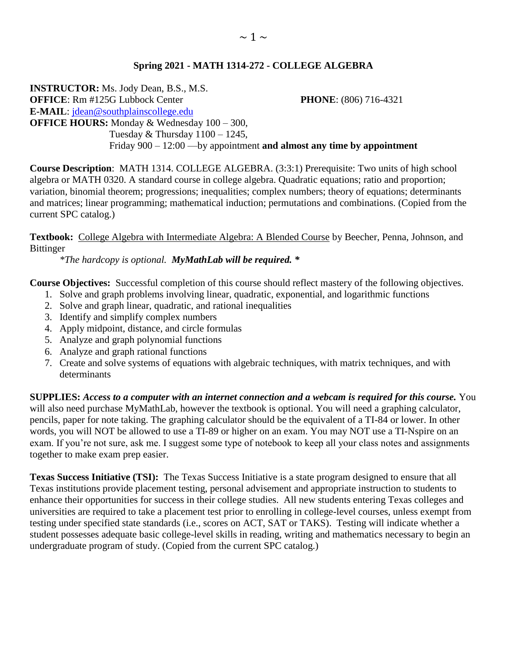### **Spring 2021 - MATH 1314-272 - COLLEGE ALGEBRA**

**INSTRUCTOR:** Ms. Jody Dean, B.S., M.S. **OFFICE**: Rm #125G Lubbock Center **PHONE**: (806) 716-4321 **E-MAIL**: [jdean@southplainscollege.edu](mailto:jdean@southplainscollege.edu)  **OFFICE HOURS:** Monday & Wednesday 100 – 300, Tuesday  $&$  Thursday  $1100 - 1245$ , Friday 900 – 12:00 —by appointment **and almost any time by appointment**

**Course Description**: MATH 1314. COLLEGE ALGEBRA. (3:3:1) Prerequisite: Two units of high school algebra or MATH 0320. A standard course in college algebra. Quadratic equations; ratio and proportion; variation, binomial theorem; progressions; inequalities; complex numbers; theory of equations; determinants and matrices; linear programming; mathematical induction; permutations and combinations. (Copied from the current SPC catalog.)

**Textbook:** College Algebra with Intermediate Algebra: A Blended Course by Beecher, Penna, Johnson, and Bittinger

*\*The hardcopy is optional. MyMathLab will be required. \**

**Course Objectives:** Successful completion of this course should reflect mastery of the following objectives.

- 1. Solve and graph problems involving linear, quadratic, exponential, and logarithmic functions
- 2. Solve and graph linear, quadratic, and rational inequalities
- 3. Identify and simplify complex numbers
- 4. Apply midpoint, distance, and circle formulas
- 5. Analyze and graph polynomial functions
- 6. Analyze and graph rational functions
- 7. Create and solve systems of equations with algebraic techniques, with matrix techniques, and with determinants

**SUPPLIES:** *Access to a computer with an internet connection and a webcam is required for this course.* You will also need purchase MyMathLab, however the textbook is optional. You will need a graphing calculator, pencils, paper for note taking. The graphing calculator should be the equivalent of a TI-84 or lower. In other words, you will NOT be allowed to use a TI-89 or higher on an exam. You may NOT use a TI-Nspire on an exam. If you're not sure, ask me. I suggest some type of notebook to keep all your class notes and assignments together to make exam prep easier.

**Texas Success Initiative (TSI):** The Texas Success Initiative is a state program designed to ensure that all Texas institutions provide placement testing, personal advisement and appropriate instruction to students to enhance their opportunities for success in their college studies. All new students entering Texas colleges and universities are required to take a placement test prior to enrolling in college-level courses, unless exempt from testing under specified state standards (i.e., scores on ACT, SAT or TAKS). Testing will indicate whether a student possesses adequate basic college-level skills in reading, writing and mathematics necessary to begin an undergraduate program of study. (Copied from the current SPC catalog.)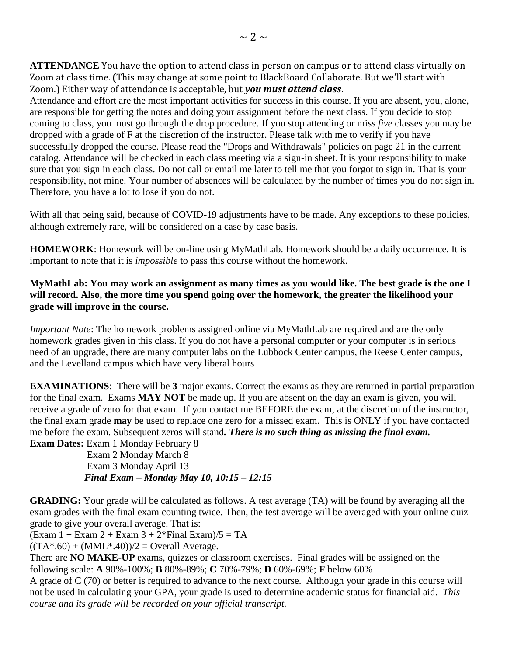**ATTENDANCE** You have the option to attend class in person on campus or to attend class virtually on Zoom at class time. (This may change at some point to BlackBoard Collaborate. But we'll start with Zoom.) Either way of attendance is acceptable, but *you must attend class*.

Attendance and effort are the most important activities for success in this course. If you are absent, you, alone, are responsible for getting the notes and doing your assignment before the next class. If you decide to stop coming to class, you must go through the drop procedure. If you stop attending or miss *five* classes you may be dropped with a grade of F at the discretion of the instructor. Please talk with me to verify if you have successfully dropped the course. Please read the "Drops and Withdrawals" policies on page 21 in the current catalog. Attendance will be checked in each class meeting via a sign-in sheet. It is your responsibility to make sure that you sign in each class. Do not call or email me later to tell me that you forgot to sign in. That is your responsibility, not mine. Your number of absences will be calculated by the number of times you do not sign in. Therefore, you have a lot to lose if you do not.

With all that being said, because of COVID-19 adjustments have to be made. Any exceptions to these policies, although extremely rare, will be considered on a case by case basis.

**HOMEWORK**: Homework will be on-line using MyMathLab. Homework should be a daily occurrence. It is important to note that it is *impossible* to pass this course without the homework.

#### **MyMathLab: You may work an assignment as many times as you would like. The best grade is the one I will record. Also, the more time you spend going over the homework, the greater the likelihood your grade will improve in the course.**

*Important Note*: The homework problems assigned online via MyMathLab are required and are the only homework grades given in this class. If you do not have a personal computer or your computer is in serious need of an upgrade, there are many computer labs on the Lubbock Center campus, the Reese Center campus, and the Levelland campus which have very liberal hours

**EXAMINATIONS**: There will be **3** major exams. Correct the exams as they are returned in partial preparation for the final exam. Exams **MAY NOT** be made up. If you are absent on the day an exam is given, you will receive a grade of zero for that exam. If you contact me BEFORE the exam, at the discretion of the instructor, the final exam grade **may** be used to replace one zero for a missed exam. This is ONLY if you have contacted me before the exam. Subsequent zeros will stand*. There is no such thing as missing the final exam.* **Exam Dates:** Exam 1 Monday February 8

 Exam 2 Monday March 8 Exam 3 Monday April 13 *Final Exam – Monday May 10, 10:15 – 12:15*

**GRADING:** Your grade will be calculated as follows. A test average (TA) will be found by averaging all the exam grades with the final exam counting twice. Then, the test average will be averaged with your online quiz grade to give your overall average. That is:

 $(Exam 1 + Exam 2 + Exam 3 + 2*Final Exam)/5 = TA$ 

 $((TA*.60) + (MML*.40))/2 = Overall Average.$ 

There are **NO MAKE-UP** exams, quizzes or classroom exercises. Final grades will be assigned on the following scale: **A** 90%-100%; **B** 80%-89%; **C** 70%-79%; **D** 60%-69%; **F** below 60%

A grade of C (70) or better is required to advance to the next course. Although your grade in this course will not be used in calculating your GPA, your grade is used to determine academic status for financial aid. *This course and its grade will be recorded on your official transcript.*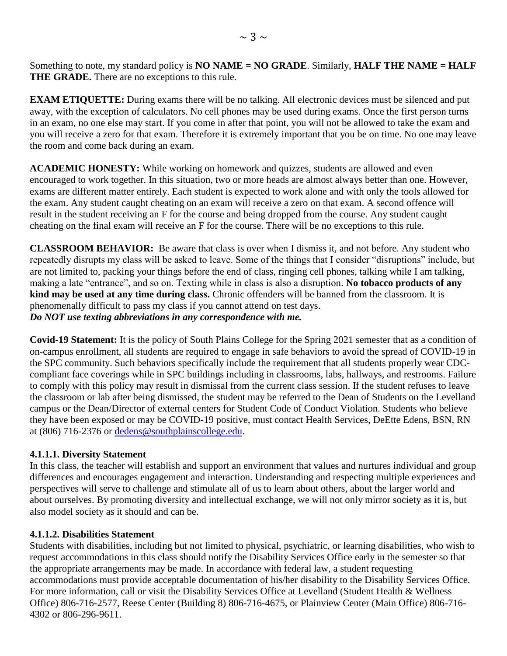Something to note, my standard policy is **NO NAME = NO GRADE**. Similarly, **HALF THE NAME = HALF THE GRADE.** There are no exceptions to this rule.

**EXAM ETIQUETTE:** During exams there will be no talking. All electronic devices must be silenced and put away, with the exception of calculators. No cell phones may be used during exams. Once the first person turns in an exam, no one else may start. If you come in after that point, you will not be allowed to take the exam and you will receive a zero for that exam. Therefore it is extremely important that you be on time. No one may leave the room and come back during an exam.

**ACADEMIC HONESTY:** While working on homework and quizzes, students are allowed and even encouraged to work together. In this situation, two or more heads are almost always better than one. However, exams are different matter entirely. Each student is expected to work alone and with only the tools allowed for the exam. Any student caught cheating on an exam will receive a zero on that exam. A second offence will result in the student receiving an F for the course and being dropped from the course. Any student caught cheating on the final exam will receive an F for the course. There will be no exceptions to this rule.

**CLASSROOM BEHAVIOR:** Be aware that class is over when I dismiss it, and not before. Any student who repeatedly disrupts my class will be asked to leave. Some of the things that I consider "disruptions" include, but are not limited to, packing your things before the end of class, ringing cell phones, talking while I am talking, making a late "entrance", and so on. Texting while in class is also a disruption. **No tobacco products of any kind may be used at any time during class.** Chronic offenders will be banned from the classroom. It is phenomenally difficult to pass my class if you cannot attend on test days. *Do NOT use texting abbreviations in any correspondence with me.*

**Covid-19 Statement:** It is the policy of South Plains College for the Spring 2021 semester that as a condition of on-campus enrollment, all students are required to engage in safe behaviors to avoid the spread of COVID-19 in the SPC community. Such behaviors specifically include the requirement that all students properly wear CDCcompliant face coverings while in SPC buildings including in classrooms, labs, hallways, and restrooms. Failure to comply with this policy may result in dismissal from the current class session. If the student refuses to leave the classroom or lab after being dismissed, the student may be referred to the Dean of Students on the Levelland campus or the Dean/Director of external centers for Student Code of Conduct Violation. Students who believe they have been exposed or may be COVID-19 positive, must contact Health Services, DeEtte Edens, BSN, RN at (806) 716-2376 or [dedens@southplainscollege.edu.](mailto:dedens@southplainscollege.edu)

#### **4.1.1.1. Diversity Statement**

In this class, the teacher will establish and support an environment that values and nurtures individual and group differences and encourages engagement and interaction. Understanding and respecting multiple experiences and perspectives will serve to challenge and stimulate all of us to learn about others, about the larger world and about ourselves. By promoting diversity and intellectual exchange, we will not only mirror society as it is, but also model society as it should and can be.

#### **4.1.1.2. Disabilities Statement**

Students with disabilities, including but not limited to physical, psychiatric, or learning disabilities, who wish to request accommodations in this class should notify the Disability Services Office early in the semester so that the appropriate arrangements may be made. In accordance with federal law, a student requesting accommodations must provide acceptable documentation of his/her disability to the Disability Services Office. For more information, call or visit the Disability Services Office at Levelland (Student Health & Wellness Office) 806-716-2577, Reese Center (Building 8) 806-716-4675, or Plainview Center (Main Office) 806-716- 4302 or 806-296-9611.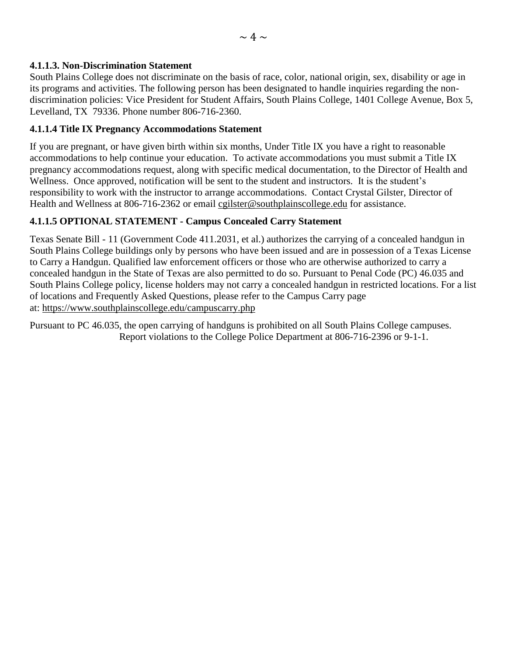### **4.1.1.3. Non-Discrimination Statement**

South Plains College does not discriminate on the basis of race, color, national origin, sex, disability or age in its programs and activities. The following person has been designated to handle inquiries regarding the nondiscrimination policies: Vice President for Student Affairs, South Plains College, 1401 College Avenue, Box 5, Levelland, TX 79336. Phone number 806-716-2360.

### **4.1.1.4 Title IX Pregnancy Accommodations Statement**

If you are pregnant, or have given birth within six months, Under Title IX you have a right to reasonable accommodations to help continue your education. To activate accommodations you must submit a Title IX pregnancy accommodations request, along with specific medical documentation, to the Director of Health and Wellness. Once approved, notification will be sent to the student and instructors. It is the student's responsibility to work with the instructor to arrange accommodations. Contact Crystal Gilster, Director of Health and Wellness at 806-716-2362 or email [cgilster@southplainscollege.edu](mailto:cgilster@southplainscollege.edu?subject=Title%20IX%20Pregnancy%20Accomodation) for assistance.

## **4.1.1.5 OPTIONAL STATEMENT - Campus Concealed Carry Statement**

Texas Senate Bill - 11 (Government Code 411.2031, et al.) authorizes the carrying of a concealed handgun in South Plains College buildings only by persons who have been issued and are in possession of a Texas License to Carry a Handgun. Qualified law enforcement officers or those who are otherwise authorized to carry a concealed handgun in the State of Texas are also permitted to do so. Pursuant to Penal Code (PC) 46.035 and South Plains College policy, license holders may not carry a concealed handgun in restricted locations. For a list of locations and Frequently Asked Questions, please refer to the Campus Carry page at: [https://www.southplainscollege.edu/campuscarry.php](http://www.southplainscollege.edu/campuscarry.php)

Pursuant to PC 46.035, the open carrying of handguns is prohibited on all South Plains College campuses. Report violations to the College Police Department at 806-716-2396 or 9-1-1.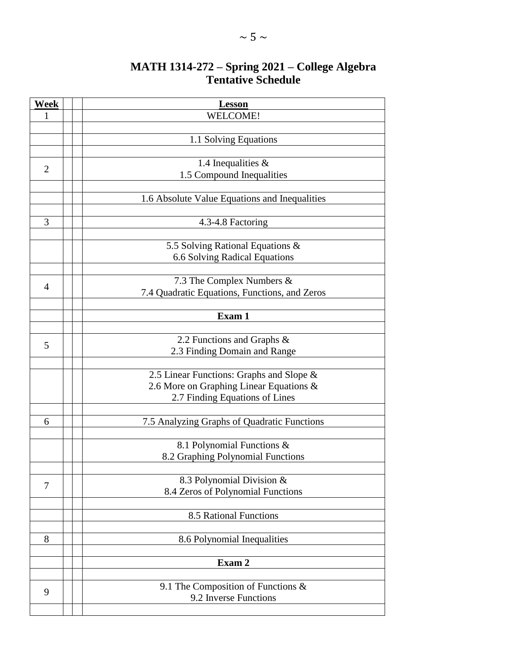# **MATH 1314-272 – Spring 2021 – College Algebra Tentative Schedule**

| Week           | <b>Lesson</b>                                 |
|----------------|-----------------------------------------------|
| 1              | <b>WELCOME!</b>                               |
|                |                                               |
|                | 1.1 Solving Equations                         |
|                |                                               |
| $\overline{2}$ | 1.4 Inequalities $&$                          |
|                | 1.5 Compound Inequalities                     |
|                |                                               |
|                | 1.6 Absolute Value Equations and Inequalities |
|                |                                               |
| 3              | 4.3-4.8 Factoring                             |
|                |                                               |
|                | 5.5 Solving Rational Equations &              |
|                | 6.6 Solving Radical Equations                 |
|                |                                               |
| $\overline{A}$ | 7.3 The Complex Numbers &                     |
|                | 7.4 Quadratic Equations, Functions, and Zeros |
|                | Exam 1                                        |
|                |                                               |
|                | 2.2 Functions and Graphs &                    |
| 5              | 2.3 Finding Domain and Range                  |
|                |                                               |
|                | 2.5 Linear Functions: Graphs and Slope &      |
|                | 2.6 More on Graphing Linear Equations &       |
|                | 2.7 Finding Equations of Lines                |
|                |                                               |
| 6              | 7.5 Analyzing Graphs of Quadratic Functions   |
|                |                                               |
|                | 8.1 Polynomial Functions &                    |
|                | 8.2 Graphing Polynomial Functions             |
|                |                                               |
| 7              | 8.3 Polynomial Division &                     |
|                | 8.4 Zeros of Polynomial Functions             |
|                |                                               |
|                | 8.5 Rational Functions                        |
|                |                                               |
| 8              | 8.6 Polynomial Inequalities                   |
|                | Exam 2                                        |
|                |                                               |
|                | 9.1 The Composition of Functions $\&$         |
| 9              | 9.2 Inverse Functions                         |
|                |                                               |
|                |                                               |